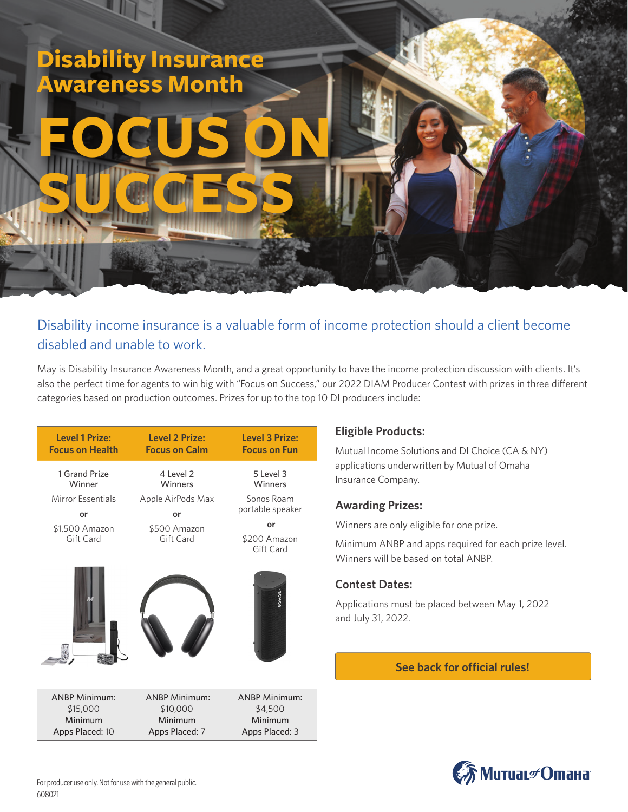# **Disability Insurance Awareness Month**

# **FOCUS ON SUCCESS**

Disability income insurance is a valuable form of income protection should a client become disabled and unable to work.

May is Disability Insurance Awareness Month, and a great opportunity to have the income protection discussion with clients. It's also the perfect time for agents to win big with "Focus on Success," our 2022 DIAM Producer Contest with prizes in three different categories based on production outcomes. Prizes for up to the top 10 DI producers include:

| <b>Level 1 Prize:</b>       | <b>Level 2 Prize:</b>     | <b>Level 3 Prize:</b>           |
|-----------------------------|---------------------------|---------------------------------|
| <b>Focus on Health</b>      | <b>Focus on Calm</b>      | <b>Focus on Fun</b>             |
| 1 Grand Prize               | 4 Level 2                 | 5 Level 3                       |
| Winner                      | Winners                   | Winners                         |
| <b>Mirror Essentials</b>    | Apple AirPods Max         | Sonos Roam                      |
| o۳                          | or                        | portable speaker                |
| \$1,500 Amazon<br>Gift Card | \$500 Amazon<br>Gift Card | or<br>\$200 Amazon<br>Gift Card |
|                             |                           | SONOS                           |
| <b>ANBP Minimum:</b>        | <b>ANBP Minimum:</b>      | <b>ANBP Minimum:</b>            |
| \$15,000                    | \$10,000                  | \$4,500                         |
| Minimum                     | Minimum                   | Minimum                         |
| Apps Placed: 10             | Apps Placed: 7            | Apps Placed: 3                  |

## **Eligible Products:**

Mutual Income Solutions and DI Choice (CA & NY) applications underwritten by Mutual of Omaha Insurance Company.

#### **Awarding Prizes:**

Winners are only eligible for one prize.

Minimum ANBP and apps required for each prize level. Winners will be based on total ANBP.

## **Contest Dates:**

Applications must be placed between May 1, 2022 and July 31, 2022.

#### **See back for official rules!**